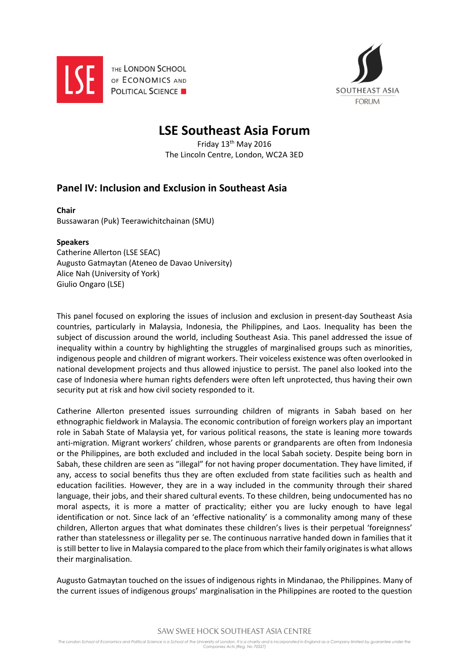

THE LONDON SCHOOL OF ECONOMICS AND **POLITICAL SCIENCE** 



## **LSE Southeast Asia Forum**

Friday 13th May 2016 The Lincoln Centre, London, WC2A 3ED

## **Panel IV: Inclusion and Exclusion in Southeast Asia**

**Chair** Bussawaran (Puk) Teerawichitchainan (SMU)

## **Speakers**

Catherine Allerton (LSE SEAC) Augusto Gatmaytan (Ateneo de Davao University) Alice Nah (University of York) Giulio Ongaro (LSE)

This panel focused on exploring the issues of inclusion and exclusion in present-day Southeast Asia countries, particularly in Malaysia, Indonesia, the Philippines, and Laos. Inequality has been the subject of discussion around the world, including Southeast Asia. This panel addressed the issue of inequality within a country by highlighting the struggles of marginalised groups such as minorities, indigenous people and children of migrant workers. Their voiceless existence was often overlooked in national development projects and thus allowed injustice to persist. The panel also looked into the case of Indonesia where human rights defenders were often left unprotected, thus having their own security put at risk and how civil society responded to it.

Catherine Allerton presented issues surrounding children of migrants in Sabah based on her ethnographic fieldwork in Malaysia. The economic contribution of foreign workers play an important role in Sabah State of Malaysia yet, for various political reasons, the state is leaning more towards anti-migration. Migrant workers' children, whose parents or grandparents are often from Indonesia or the Philippines, are both excluded and included in the local Sabah society. Despite being born in Sabah, these children are seen as "illegal" for not having proper documentation. They have limited, if any, access to social benefits thus they are often excluded from state facilities such as health and education facilities. However, they are in a way included in the community through their shared language, their jobs, and their shared cultural events. To these children, being undocumented has no moral aspects, it is more a matter of practicality; either you are lucky enough to have legal identification or not. Since lack of an 'effective nationality' is a commonality among many of these children, Allerton argues that what dominates these children's lives is their perpetual 'foreignness' rather than statelessness or illegality per se. The continuous narrative handed down in families that it is still better to live in Malaysia compared to the place from which their family originates is what allows their marginalisation.

Augusto Gatmaytan touched on the issues of indigenous rights in Mindanao, the Philippines. Many of the current issues of indigenous groups' marginalisation in the Philippines are rooted to the question